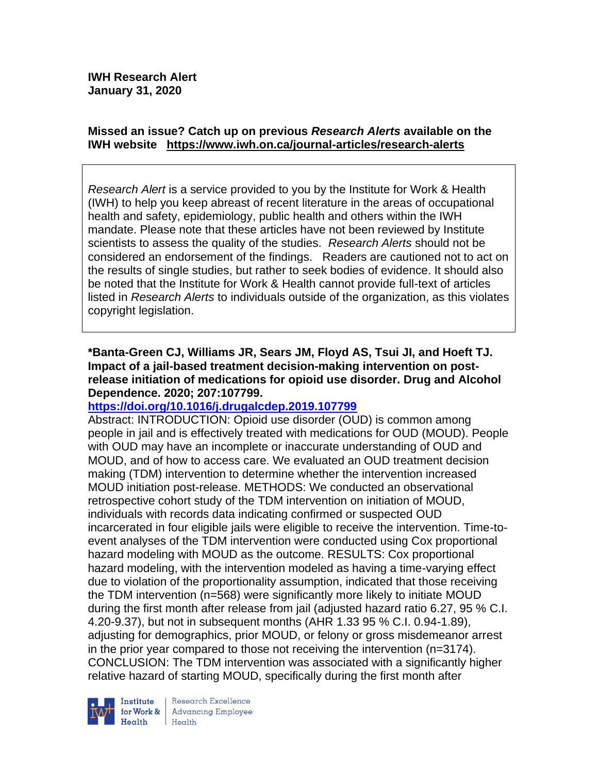## **Missed an issue? Catch up on previous** *Research Alerts* **available on the [IWH website](http://www.iwh.on.ca/research-alerts) <https://www.iwh.on.ca/journal-articles/research-alerts>**

*Research Alert* is a service provided to you by the Institute for Work & Health (IWH) to help you keep abreast of recent literature in the areas of occupational health and safety, epidemiology, public health and others within the IWH mandate. Please note that these articles have not been reviewed by Institute scientists to assess the quality of the studies. *Research Alerts* should not be considered an endorsement of the findings. Readers are cautioned not to act on the results of single studies, but rather to seek bodies of evidence. It should also be noted that the Institute for Work & Health cannot provide full-text of articles listed in *Research Alerts* to individuals outside of the organization, as this violates copyright legislation.

### **\*Banta-Green CJ, Williams JR, Sears JM, Floyd AS, Tsui JI, and Hoeft TJ. Impact of a jail-based treatment decision-making intervention on postrelease initiation of medications for opioid use disorder. Drug and Alcohol Dependence. 2020; 207:107799.**

# **<https://doi.org/10.1016/j.drugalcdep.2019.107799>**

Abstract: INTRODUCTION: Opioid use disorder (OUD) is common among people in jail and is effectively treated with medications for OUD (MOUD). People with OUD may have an incomplete or inaccurate understanding of OUD and MOUD, and of how to access care. We evaluated an OUD treatment decision making (TDM) intervention to determine whether the intervention increased MOUD initiation post-release. METHODS: We conducted an observational retrospective cohort study of the TDM intervention on initiation of MOUD, individuals with records data indicating confirmed or suspected OUD incarcerated in four eligible jails were eligible to receive the intervention. Time-toevent analyses of the TDM intervention were conducted using Cox proportional hazard modeling with MOUD as the outcome. RESULTS: Cox proportional hazard modeling, with the intervention modeled as having a time-varying effect due to violation of the proportionality assumption, indicated that those receiving the TDM intervention (n=568) were significantly more likely to initiate MOUD during the first month after release from jail (adjusted hazard ratio 6.27, 95 % C.I. 4.20-9.37), but not in subsequent months (AHR 1.33 95 % C.I. 0.94-1.89), adjusting for demographics, prior MOUD, or felony or gross misdemeanor arrest in the prior year compared to those not receiving the intervention (n=3174). CONCLUSION: The TDM intervention was associated with a significantly higher relative hazard of starting MOUD, specifically during the first month after



Institute Research Excellence<br>
for Work & Advancing Employee<br>
Health<br>
Health Health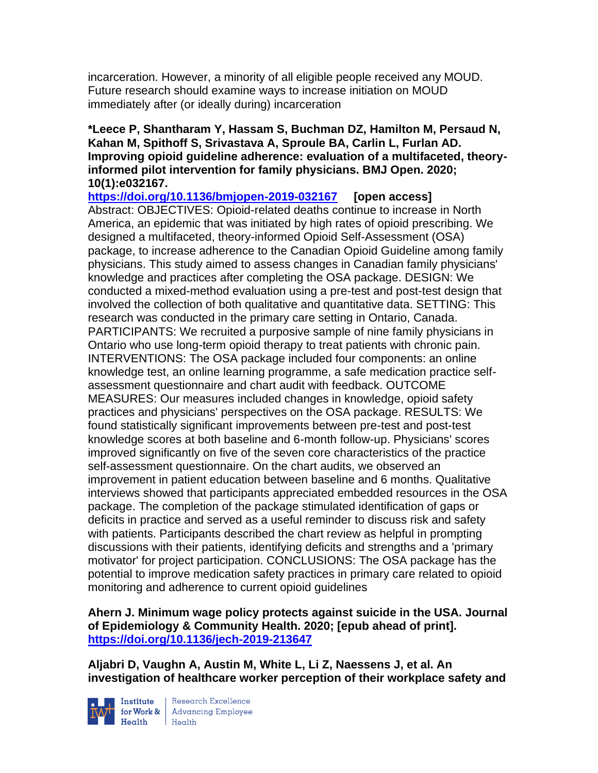incarceration. However, a minority of all eligible people received any MOUD. Future research should examine ways to increase initiation on MOUD immediately after (or ideally during) incarceration

### **\*Leece P, Shantharam Y, Hassam S, Buchman DZ, Hamilton M, Persaud N, Kahan M, Spithoff S, Srivastava A, Sproule BA, Carlin L, Furlan AD. Improving opioid guideline adherence: evaluation of a multifaceted, theoryinformed pilot intervention for family physicians. BMJ Open. 2020; 10(1):e032167.**

**<https://doi.org/10.1136/bmjopen-2019-032167> [open access]** Abstract: OBJECTIVES: Opioid-related deaths continue to increase in North America, an epidemic that was initiated by high rates of opioid prescribing. We designed a multifaceted, theory-informed Opioid Self-Assessment (OSA) package, to increase adherence to the Canadian Opioid Guideline among family physicians. This study aimed to assess changes in Canadian family physicians' knowledge and practices after completing the OSA package. DESIGN: We conducted a mixed-method evaluation using a pre-test and post-test design that involved the collection of both qualitative and quantitative data. SETTING: This research was conducted in the primary care setting in Ontario, Canada. PARTICIPANTS: We recruited a purposive sample of nine family physicians in Ontario who use long-term opioid therapy to treat patients with chronic pain. INTERVENTIONS: The OSA package included four components: an online knowledge test, an online learning programme, a safe medication practice selfassessment questionnaire and chart audit with feedback. OUTCOME MEASURES: Our measures included changes in knowledge, opioid safety practices and physicians' perspectives on the OSA package. RESULTS: We found statistically significant improvements between pre-test and post-test knowledge scores at both baseline and 6-month follow-up. Physicians' scores improved significantly on five of the seven core characteristics of the practice self-assessment questionnaire. On the chart audits, we observed an improvement in patient education between baseline and 6 months. Qualitative interviews showed that participants appreciated embedded resources in the OSA package. The completion of the package stimulated identification of gaps or deficits in practice and served as a useful reminder to discuss risk and safety with patients. Participants described the chart review as helpful in prompting discussions with their patients, identifying deficits and strengths and a 'primary motivator' for project participation. CONCLUSIONS: The OSA package has the potential to improve medication safety practices in primary care related to opioid monitoring and adherence to current opioid guidelines

**Ahern J. Minimum wage policy protects against suicide in the USA. Journal of Epidemiology & Community Health. 2020; [epub ahead of print]. <https://doi.org/10.1136/jech-2019-213647>** 

**Aljabri D, Vaughn A, Austin M, White L, Li Z, Naessens J, et al. An investigation of healthcare worker perception of their workplace safety and** 



Institute Research Excellence<br>for Work & Advancing Employee<br>Health Health  $Heath$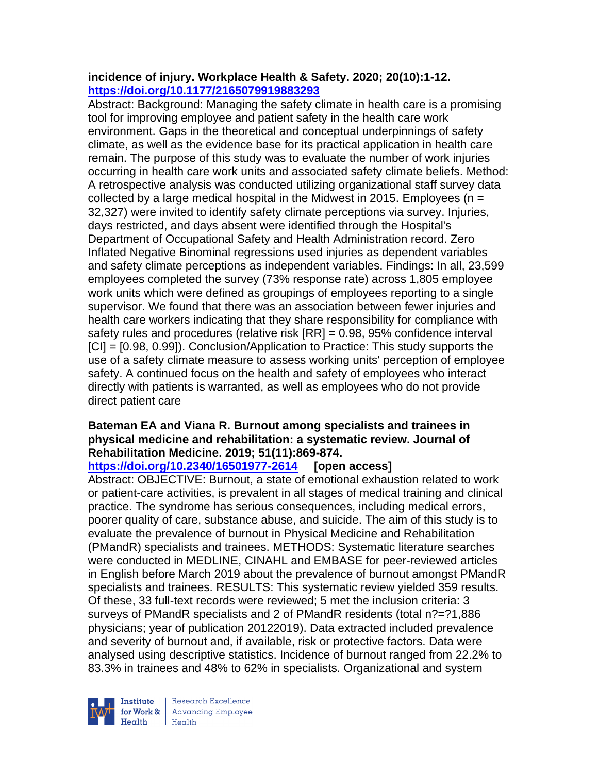## **incidence of injury. Workplace Health & Safety. 2020; 20(10):1-12. <https://doi.org/10.1177/2165079919883293>**

Abstract: Background: Managing the safety climate in health care is a promising tool for improving employee and patient safety in the health care work environment. Gaps in the theoretical and conceptual underpinnings of safety climate, as well as the evidence base for its practical application in health care remain. The purpose of this study was to evaluate the number of work injuries occurring in health care work units and associated safety climate beliefs. Method: A retrospective analysis was conducted utilizing organizational staff survey data collected by a large medical hospital in the Midwest in 2015. Employees ( $n =$ 32,327) were invited to identify safety climate perceptions via survey. Injuries, days restricted, and days absent were identified through the Hospital's Department of Occupational Safety and Health Administration record. Zero Inflated Negative Binominal regressions used injuries as dependent variables and safety climate perceptions as independent variables. Findings: In all, 23,599 employees completed the survey (73% response rate) across 1,805 employee work units which were defined as groupings of employees reporting to a single supervisor. We found that there was an association between fewer injuries and health care workers indicating that they share responsibility for compliance with safety rules and procedures (relative risk [RR] = 0.98, 95% confidence interval [CI] = [0.98, 0.99]). Conclusion/Application to Practice: This study supports the use of a safety climate measure to assess working units' perception of employee safety. A continued focus on the health and safety of employees who interact directly with patients is warranted, as well as employees who do not provide direct patient care

## **Bateman EA and Viana R. Burnout among specialists and trainees in physical medicine and rehabilitation: a systematic review. Journal of Rehabilitation Medicine. 2019; 51(11):869-874.**

**<https://doi.org/10.2340/16501977-2614> [open access]**

Abstract: OBJECTIVE: Burnout, a state of emotional exhaustion related to work or patient-care activities, is prevalent in all stages of medical training and clinical practice. The syndrome has serious consequences, including medical errors, poorer quality of care, substance abuse, and suicide. The aim of this study is to evaluate the prevalence of burnout in Physical Medicine and Rehabilitation (PMandR) specialists and trainees. METHODS: Systematic literature searches were conducted in MEDLINE, CINAHL and EMBASE for peer-reviewed articles in English before March 2019 about the prevalence of burnout amongst PMandR specialists and trainees. RESULTS: This systematic review yielded 359 results. Of these, 33 full-text records were reviewed; 5 met the inclusion criteria: 3 surveys of PMandR specialists and 2 of PMandR residents (total n?=?1,886 physicians; year of publication 20122019). Data extracted included prevalence and severity of burnout and, if available, risk or protective factors. Data were analysed using descriptive statistics. Incidence of burnout ranged from 22.2% to 83.3% in trainees and 48% to 62% in specialists. Organizational and system

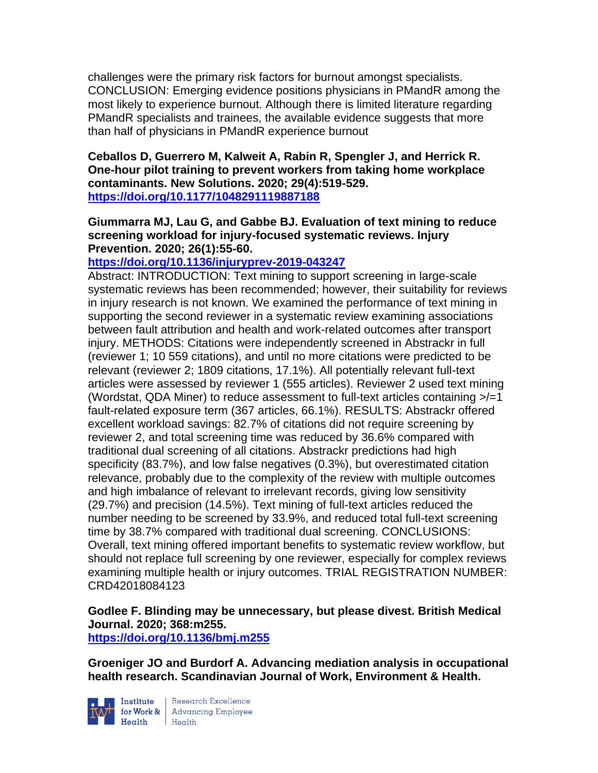challenges were the primary risk factors for burnout amongst specialists. CONCLUSION: Emerging evidence positions physicians in PMandR among the most likely to experience burnout. Although there is limited literature regarding PMandR specialists and trainees, the available evidence suggests that more than half of physicians in PMandR experience burnout

### **Ceballos D, Guerrero M, Kalweit A, Rabin R, Spengler J, and Herrick R. One-hour pilot training to prevent workers from taking home workplace contaminants. New Solutions. 2020; 29(4):519-529. <https://doi.org/10.1177/1048291119887188>**

### **Giummarra MJ, Lau G, and Gabbe BJ. Evaluation of text mining to reduce screening workload for injury-focused systematic reviews. Injury Prevention. 2020; 26(1):55-60.**

# **<https://doi.org/10.1136/injuryprev-2019-043247>**

Abstract: INTRODUCTION: Text mining to support screening in large-scale systematic reviews has been recommended; however, their suitability for reviews in injury research is not known. We examined the performance of text mining in supporting the second reviewer in a systematic review examining associations between fault attribution and health and work-related outcomes after transport injury. METHODS: Citations were independently screened in Abstrackr in full (reviewer 1; 10 559 citations), and until no more citations were predicted to be relevant (reviewer 2; 1809 citations, 17.1%). All potentially relevant full-text articles were assessed by reviewer 1 (555 articles). Reviewer 2 used text mining (Wordstat, QDA Miner) to reduce assessment to full-text articles containing >/=1 fault-related exposure term (367 articles, 66.1%). RESULTS: Abstrackr offered excellent workload savings: 82.7% of citations did not require screening by reviewer 2, and total screening time was reduced by 36.6% compared with traditional dual screening of all citations. Abstrackr predictions had high specificity (83.7%), and low false negatives (0.3%), but overestimated citation relevance, probably due to the complexity of the review with multiple outcomes and high imbalance of relevant to irrelevant records, giving low sensitivity (29.7%) and precision (14.5%). Text mining of full-text articles reduced the number needing to be screened by 33.9%, and reduced total full-text screening time by 38.7% compared with traditional dual screening. CONCLUSIONS: Overall, text mining offered important benefits to systematic review workflow, but should not replace full screening by one reviewer, especially for complex reviews examining multiple health or injury outcomes. TRIAL REGISTRATION NUMBER: CRD42018084123

# **Godlee F. Blinding may be unnecessary, but please divest. British Medical Journal. 2020; 368:m255.**

### **<https://doi.org/10.1136/bmj.m255>**

**Groeniger JO and Burdorf A. Advancing mediation analysis in occupational health research. Scandinavian Journal of Work, Environment & Health.** 



Institute Research Excellence<br>
for Work & Advancing Employee<br>
Health Health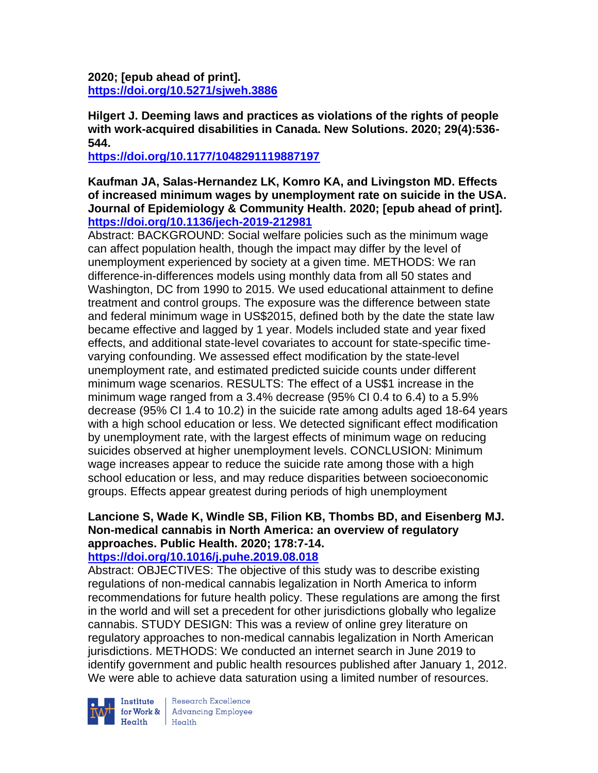**2020; [epub ahead of print]. <https://doi.org/10.5271/sjweh.3886>** 

**Hilgert J. Deeming laws and practices as violations of the rights of people with work-acquired disabilities in Canada. New Solutions. 2020; 29(4):536- 544.** 

**<https://doi.org/10.1177/1048291119887197>** 

**Kaufman JA, Salas-Hernandez LK, Komro KA, and Livingston MD. Effects of increased minimum wages by unemployment rate on suicide in the USA. Journal of Epidemiology & Community Health. 2020; [epub ahead of print]. <https://doi.org/10.1136/jech-2019-212981>** 

Abstract: BACKGROUND: Social welfare policies such as the minimum wage can affect population health, though the impact may differ by the level of unemployment experienced by society at a given time. METHODS: We ran difference-in-differences models using monthly data from all 50 states and Washington, DC from 1990 to 2015. We used educational attainment to define treatment and control groups. The exposure was the difference between state and federal minimum wage in US\$2015, defined both by the date the state law became effective and lagged by 1 year. Models included state and year fixed effects, and additional state-level covariates to account for state-specific timevarying confounding. We assessed effect modification by the state-level unemployment rate, and estimated predicted suicide counts under different minimum wage scenarios. RESULTS: The effect of a US\$1 increase in the minimum wage ranged from a 3.4% decrease (95% CI 0.4 to 6.4) to a 5.9% decrease (95% CI 1.4 to 10.2) in the suicide rate among adults aged 18-64 years with a high school education or less. We detected significant effect modification by unemployment rate, with the largest effects of minimum wage on reducing suicides observed at higher unemployment levels. CONCLUSION: Minimum wage increases appear to reduce the suicide rate among those with a high school education or less, and may reduce disparities between socioeconomic groups. Effects appear greatest during periods of high unemployment

# **Lancione S, Wade K, Windle SB, Filion KB, Thombs BD, and Eisenberg MJ. Non-medical cannabis in North America: an overview of regulatory approaches. Public Health. 2020; 178:7-14.**

# **<https://doi.org/10.1016/j.puhe.2019.08.018>**

Abstract: OBJECTIVES: The objective of this study was to describe existing regulations of non-medical cannabis legalization in North America to inform recommendations for future health policy. These regulations are among the first in the world and will set a precedent for other jurisdictions globally who legalize cannabis. STUDY DESIGN: This was a review of online grey literature on regulatory approaches to non-medical cannabis legalization in North American jurisdictions. METHODS: We conducted an internet search in June 2019 to identify government and public health resources published after January 1, 2012. We were able to achieve data saturation using a limited number of resources.



**Institute** Research Excellence<br> **for Work &** Advancing Employee<br> **Health** Health  $Heath$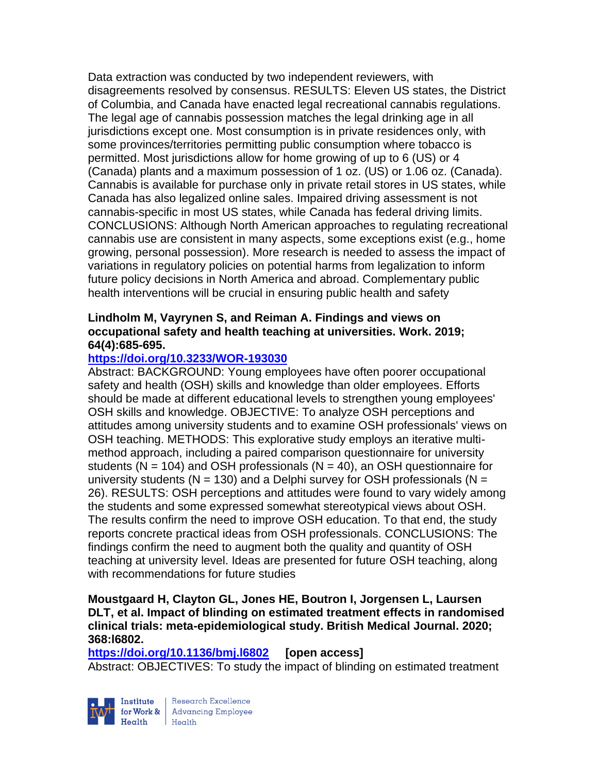Data extraction was conducted by two independent reviewers, with disagreements resolved by consensus. RESULTS: Eleven US states, the District of Columbia, and Canada have enacted legal recreational cannabis regulations. The legal age of cannabis possession matches the legal drinking age in all jurisdictions except one. Most consumption is in private residences only, with some provinces/territories permitting public consumption where tobacco is permitted. Most jurisdictions allow for home growing of up to 6 (US) or 4 (Canada) plants and a maximum possession of 1 oz. (US) or 1.06 oz. (Canada). Cannabis is available for purchase only in private retail stores in US states, while Canada has also legalized online sales. Impaired driving assessment is not cannabis-specific in most US states, while Canada has federal driving limits. CONCLUSIONS: Although North American approaches to regulating recreational cannabis use are consistent in many aspects, some exceptions exist (e.g., home growing, personal possession). More research is needed to assess the impact of variations in regulatory policies on potential harms from legalization to inform future policy decisions in North America and abroad. Complementary public health interventions will be crucial in ensuring public health and safety

### **Lindholm M, Vayrynen S, and Reiman A. Findings and views on occupational safety and health teaching at universities. Work. 2019; 64(4):685-695.**

## **<https://doi.org/10.3233/WOR-193030>**

Abstract: BACKGROUND: Young employees have often poorer occupational safety and health (OSH) skills and knowledge than older employees. Efforts should be made at different educational levels to strengthen young employees' OSH skills and knowledge. OBJECTIVE: To analyze OSH perceptions and attitudes among university students and to examine OSH professionals' views on OSH teaching. METHODS: This explorative study employs an iterative multimethod approach, including a paired comparison questionnaire for university students ( $N = 104$ ) and OSH professionals ( $N = 40$ ), an OSH questionnaire for university students ( $N = 130$ ) and a Delphi survey for OSH professionals ( $N =$ 26). RESULTS: OSH perceptions and attitudes were found to vary widely among the students and some expressed somewhat stereotypical views about OSH. The results confirm the need to improve OSH education. To that end, the study reports concrete practical ideas from OSH professionals. CONCLUSIONS: The findings confirm the need to augment both the quality and quantity of OSH teaching at university level. Ideas are presented for future OSH teaching, along with recommendations for future studies

### **Moustgaard H, Clayton GL, Jones HE, Boutron I, Jorgensen L, Laursen DLT, et al. Impact of blinding on estimated treatment effects in randomised clinical trials: meta-epidemiological study. British Medical Journal. 2020; 368:l6802.**

**<https://doi.org/10.1136/bmj.l6802> [open access]** Abstract: OBJECTIVES: To study the impact of blinding on estimated treatment



Research Excellence for Work & | Advancing Employee Health Health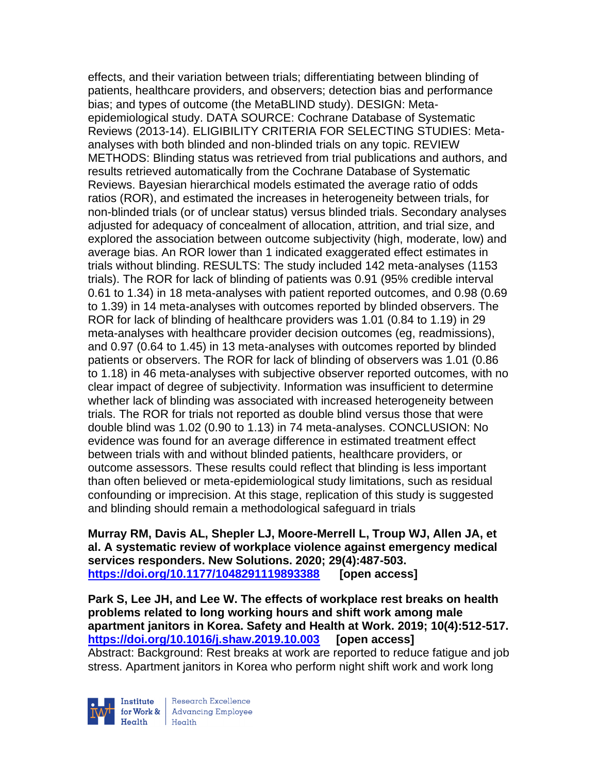effects, and their variation between trials; differentiating between blinding of patients, healthcare providers, and observers; detection bias and performance bias; and types of outcome (the MetaBLIND study). DESIGN: Metaepidemiological study. DATA SOURCE: Cochrane Database of Systematic Reviews (2013-14). ELIGIBILITY CRITERIA FOR SELECTING STUDIES: Metaanalyses with both blinded and non-blinded trials on any topic. REVIEW METHODS: Blinding status was retrieved from trial publications and authors, and results retrieved automatically from the Cochrane Database of Systematic Reviews. Bayesian hierarchical models estimated the average ratio of odds ratios (ROR), and estimated the increases in heterogeneity between trials, for non-blinded trials (or of unclear status) versus blinded trials. Secondary analyses adjusted for adequacy of concealment of allocation, attrition, and trial size, and explored the association between outcome subjectivity (high, moderate, low) and average bias. An ROR lower than 1 indicated exaggerated effect estimates in trials without blinding. RESULTS: The study included 142 meta-analyses (1153 trials). The ROR for lack of blinding of patients was 0.91 (95% credible interval 0.61 to 1.34) in 18 meta-analyses with patient reported outcomes, and 0.98 (0.69 to 1.39) in 14 meta-analyses with outcomes reported by blinded observers. The ROR for lack of blinding of healthcare providers was 1.01 (0.84 to 1.19) in 29 meta-analyses with healthcare provider decision outcomes (eg, readmissions), and 0.97 (0.64 to 1.45) in 13 meta-analyses with outcomes reported by blinded patients or observers. The ROR for lack of blinding of observers was 1.01 (0.86 to 1.18) in 46 meta-analyses with subjective observer reported outcomes, with no clear impact of degree of subjectivity. Information was insufficient to determine whether lack of blinding was associated with increased heterogeneity between trials. The ROR for trials not reported as double blind versus those that were double blind was 1.02 (0.90 to 1.13) in 74 meta-analyses. CONCLUSION: No evidence was found for an average difference in estimated treatment effect between trials with and without blinded patients, healthcare providers, or outcome assessors. These results could reflect that blinding is less important than often believed or meta-epidemiological study limitations, such as residual confounding or imprecision. At this stage, replication of this study is suggested and blinding should remain a methodological safeguard in trials

**Murray RM, Davis AL, Shepler LJ, Moore-Merrell L, Troup WJ, Allen JA, et al. A systematic review of workplace violence against emergency medical services responders. New Solutions. 2020; 29(4):487-503. <https://doi.org/10.1177/1048291119893388> [open access]**

**Park S, Lee JH, and Lee W. The effects of workplace rest breaks on health problems related to long working hours and shift work among male apartment janitors in Korea. Safety and Health at Work. 2019; 10(4):512-517. <https://doi.org/10.1016/j.shaw.2019.10.003> [open access]** Abstract: Background: Rest breaks at work are reported to reduce fatigue and job stress. Apartment janitors in Korea who perform night shift work and work long

Institute  $Health$ 

Research Excellence for Work & | Advancing Employee  $H_{\text{each}}$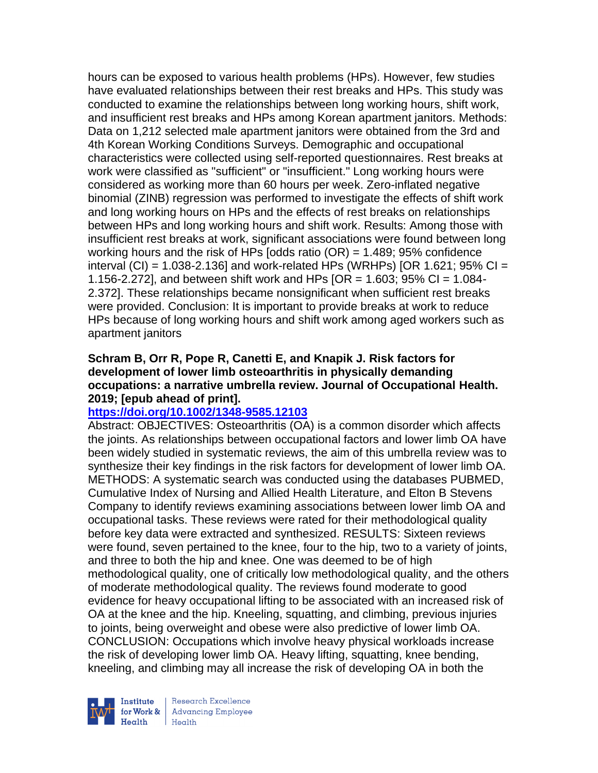hours can be exposed to various health problems (HPs). However, few studies have evaluated relationships between their rest breaks and HPs. This study was conducted to examine the relationships between long working hours, shift work, and insufficient rest breaks and HPs among Korean apartment janitors. Methods: Data on 1,212 selected male apartment janitors were obtained from the 3rd and 4th Korean Working Conditions Surveys. Demographic and occupational characteristics were collected using self-reported questionnaires. Rest breaks at work were classified as "sufficient" or "insufficient." Long working hours were considered as working more than 60 hours per week. Zero-inflated negative binomial (ZINB) regression was performed to investigate the effects of shift work and long working hours on HPs and the effects of rest breaks on relationships between HPs and long working hours and shift work. Results: Among those with insufficient rest breaks at work, significant associations were found between long working hours and the risk of HPs [odds ratio (OR) = 1.489; 95% confidence interval (CI) = 1.038-2.136] and work-related HPs (WRHPs) [OR 1.621; 95% CI = 1.156-2.272], and between shift work and HPs  $[OR = 1.603; 95\% CI = 1.084-$ 2.372]. These relationships became nonsignificant when sufficient rest breaks were provided. Conclusion: It is important to provide breaks at work to reduce HPs because of long working hours and shift work among aged workers such as apartment janitors

## **Schram B, Orr R, Pope R, Canetti E, and Knapik J. Risk factors for development of lower limb osteoarthritis in physically demanding occupations: a narrative umbrella review. Journal of Occupational Health. 2019; [epub ahead of print].**

# **<https://doi.org/10.1002/1348-9585.12103>**

Abstract: OBJECTIVES: Osteoarthritis (OA) is a common disorder which affects the joints. As relationships between occupational factors and lower limb OA have been widely studied in systematic reviews, the aim of this umbrella review was to synthesize their key findings in the risk factors for development of lower limb OA. METHODS: A systematic search was conducted using the databases PUBMED, Cumulative Index of Nursing and Allied Health Literature, and Elton B Stevens Company to identify reviews examining associations between lower limb OA and occupational tasks. These reviews were rated for their methodological quality before key data were extracted and synthesized. RESULTS: Sixteen reviews were found, seven pertained to the knee, four to the hip, two to a variety of joints, and three to both the hip and knee. One was deemed to be of high methodological quality, one of critically low methodological quality, and the others of moderate methodological quality. The reviews found moderate to good evidence for heavy occupational lifting to be associated with an increased risk of OA at the knee and the hip. Kneeling, squatting, and climbing, previous injuries to joints, being overweight and obese were also predictive of lower limb OA. CONCLUSION: Occupations which involve heavy physical workloads increase the risk of developing lower limb OA. Heavy lifting, squatting, knee bending, kneeling, and climbing may all increase the risk of developing OA in both the



Research Excellence for Work & | Advancing Employee Health